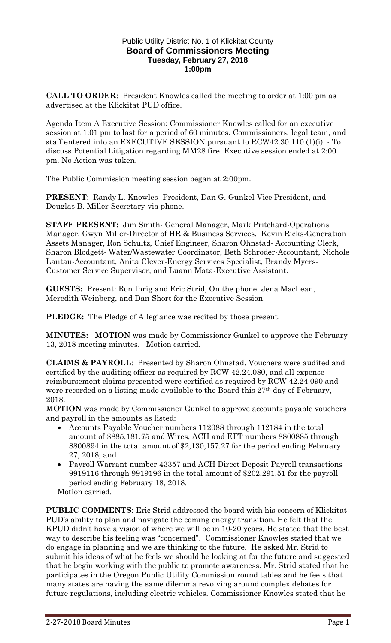## Public Utility District No. 1 of Klickitat County **Board of Commissioners Meeting Tuesday, February 27, 2018 1:00pm**

**CALL TO ORDER**: President Knowles called the meeting to order at 1:00 pm as advertised at the Klickitat PUD office.

Agenda Item A Executive Session: Commissioner Knowles called for an executive session at 1:01 pm to last for a period of 60 minutes. Commissioners, legal team, and staff entered into an EXECUTIVE SESSION pursuant to RCW42.30.110 (1)(i) - To discuss Potential Litigation regarding MM28 fire. Executive session ended at 2:00 pm. No Action was taken.

The Public Commission meeting session began at 2:00pm.

**PRESENT**: Randy L. Knowles- President, Dan G. Gunkel-Vice President, and Douglas B. Miller-Secretary-via phone.

**STAFF PRESENT:** Jim Smith- General Manager, Mark Pritchard-Operations Manager, Gwyn Miller-Director of HR & Business Services, Kevin Ricks-Generation Assets Manager, Ron Schultz, Chief Engineer, Sharon Ohnstad- Accounting Clerk, Sharon Blodgett- Water/Wastewater Coordinator, Beth Schroder-Accountant, Nichole Lantau-Accountant, Anita Clever-Energy Services Specialist, Brandy Myers-Customer Service Supervisor, and Luann Mata-Executive Assistant.

**GUESTS:** Present: Ron Ihrig and Eric Strid, On the phone: Jena MacLean, Meredith Weinberg, and Dan Short for the Executive Session.

**PLEDGE:** The Pledge of Allegiance was recited by those present.

**MINUTES: MOTION** was made by Commissioner Gunkel to approve the February 13, 2018 meeting minutes. Motion carried.

**CLAIMS & PAYROLL**: Presented by Sharon Ohnstad. Vouchers were audited and certified by the auditing officer as required by RCW 42.24.080, and all expense reimbursement claims presented were certified as required by RCW 42.24.090 and were recorded on a listing made available to the Board this 27<sup>th</sup> day of February, 2018.

**MOTION** was made by Commissioner Gunkel to approve accounts payable vouchers and payroll in the amounts as listed:

- Accounts Payable Voucher numbers 112088 through 112184 in the total amount of \$885,181.75 and Wires, ACH and EFT numbers 8800885 through 8800894 in the total amount of \$2,130,157.27 for the period ending February 27, 2018; and
- Payroll Warrant number 43357 and ACH Direct Deposit Payroll transactions 9919116 through 9919196 in the total amount of \$202,291.51 for the payroll period ending February 18, 2018.

Motion carried.

**PUBLIC COMMENTS**: Eric Strid addressed the board with his concern of Klickitat PUD's ability to plan and navigate the coming energy transition. He felt that the KPUD didn't have a vision of where we will be in 10-20 years. He stated that the best way to describe his feeling was "concerned". Commissioner Knowles stated that we do engage in planning and we are thinking to the future. He asked Mr. Strid to submit his ideas of what he feels we should be looking at for the future and suggested that he begin working with the public to promote awareness. Mr. Strid stated that he participates in the Oregon Public Utility Commission round tables and he feels that many states are having the same dilemma revolving around complex debates for future regulations, including electric vehicles. Commissioner Knowles stated that he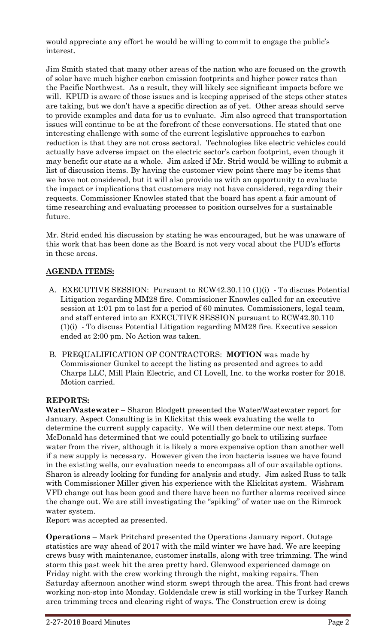would appreciate any effort he would be willing to commit to engage the public's interest.

Jim Smith stated that many other areas of the nation who are focused on the growth of solar have much higher carbon emission footprints and higher power rates than the Pacific Northwest. As a result, they will likely see significant impacts before we will. KPUD is aware of those issues and is keeping apprised of the steps other states are taking, but we don't have a specific direction as of yet. Other areas should serve to provide examples and data for us to evaluate. Jim also agreed that transportation issues will continue to be at the forefront of these conversations. He stated that one interesting challenge with some of the current legislative approaches to carbon reduction is that they are not cross sectoral. Technologies like electric vehicles could actually have adverse impact on the electric sector's carbon footprint, even though it may benefit our state as a whole. Jim asked if Mr. Strid would be willing to submit a list of discussion items. By having the customer view point there may be items that we have not considered, but it will also provide us with an opportunity to evaluate the impact or implications that customers may not have considered, regarding their requests. Commissioner Knowles stated that the board has spent a fair amount of time researching and evaluating processes to position ourselves for a sustainable future.

Mr. Strid ended his discussion by stating he was encouraged, but he was unaware of this work that has been done as the Board is not very vocal about the PUD's efforts in these areas.

## **AGENDA ITEMS:**

- A. EXECUTIVE SESSION: Pursuant to RCW42.30.110 (1)(i) To discuss Potential Litigation regarding MM28 fire. Commissioner Knowles called for an executive session at 1:01 pm to last for a period of 60 minutes. Commissioners, legal team, and staff entered into an EXECUTIVE SESSION pursuant to RCW42.30.110 (1)(i) - To discuss Potential Litigation regarding MM28 fire. Executive session ended at 2:00 pm. No Action was taken.
- B. PREQUALIFICATION OF CONTRACTORS: **MOTION** was made by Commissioner Gunkel to accept the listing as presented and agrees to add Charps LLC, Mill Plain Electric, and CI Lovell, Inc. to the works roster for 2018. Motion carried.

## **REPORTS:**

**Water/Wastewater** – Sharon Blodgett presented the Water/Wastewater report for January. Aspect Consulting is in Klickitat this week evaluating the wells to determine the current supply capacity. We will then determine our next steps. Tom McDonald has determined that we could potentially go back to utilizing surface water from the river, although it is likely a more expensive option than another well if a new supply is necessary. However given the iron bacteria issues we have found in the existing wells, our evaluation needs to encompass all of our available options. Sharon is already looking for funding for analysis and study. Jim asked Russ to talk with Commissioner Miller given his experience with the Klickitat system. Wishram VFD change out has been good and there have been no further alarms received since the change out. We are still investigating the "spiking" of water use on the Rimrock water system.

Report was accepted as presented.

**Operations** – Mark Pritchard presented the Operations January report. Outage statistics are way ahead of 2017 with the mild winter we have had. We are keeping crews busy with maintenance, customer installs, along with tree trimming. The wind storm this past week hit the area pretty hard. Glenwood experienced damage on Friday night with the crew working through the night, making repairs. Then Saturday afternoon another wind storm swept through the area. This front had crews working non-stop into Monday. Goldendale crew is still working in the Turkey Ranch area trimming trees and clearing right of ways. The Construction crew is doing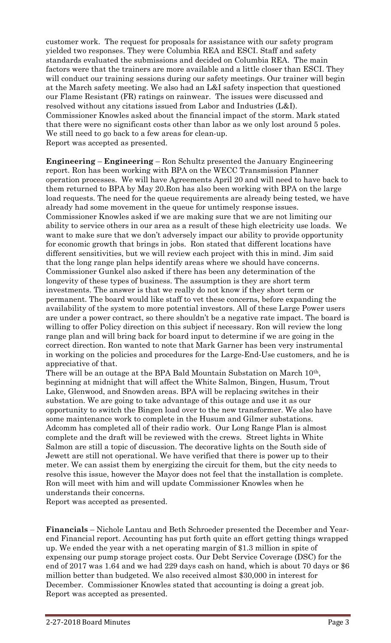customer work. The request for proposals for assistance with our safety program yielded two responses. They were Columbia REA and ESCI. Staff and safety standards evaluated the submissions and decided on Columbia REA. The main factors were that the trainers are more available and a little closer than ESCI. They will conduct our training sessions during our safety meetings. Our trainer will begin at the March safety meeting. We also had an L&I safety inspection that questioned our Flame Resistant (FR) ratings on rainwear. The issues were discussed and resolved without any citations issued from Labor and Industries (L&I). Commissioner Knowles asked about the financial impact of the storm. Mark stated that there were no significant costs other than labor as we only lost around 5 poles. We still need to go back to a few areas for clean-up. Report was accepted as presented.

**Engineering** – **Engineering** – Ron Schultz presented the January Engineering report. Ron has been working with BPA on the WECC Transmission Planner operation processes. We will have Agreements April 20 and will need to have back to them returned to BPA by May 20.Ron has also been working with BPA on the large load requests. The need for the queue requirements are already being tested, we have already had some movement in the queue for untimely response issues. Commissioner Knowles asked if we are making sure that we are not limiting our ability to service others in our area as a result of these high electricity use loads. We want to make sure that we don't adversely impact our ability to provide opportunity for economic growth that brings in jobs. Ron stated that different locations have different sensitivities, but we will review each project with this in mind. Jim said that the long range plan helps identify areas where we should have concerns. Commissioner Gunkel also asked if there has been any determination of the longevity of these types of business. The assumption is they are short term investments. The answer is that we really do not know if they short term or permanent. The board would like staff to vet these concerns, before expanding the availability of the system to more potential investors. All of these Large Power users are under a power contract, so there shouldn't be a negative rate impact. The board is willing to offer Policy direction on this subject if necessary. Ron will review the long range plan and will bring back for board input to determine if we are going in the correct direction. Ron wanted to note that Mark Garner has been very instrumental in working on the policies and procedures for the Large-End-Use customers, and he is appreciative of that.

There will be an outage at the BPA Bald Mountain Substation on March 10<sup>th</sup>, beginning at midnight that will affect the White Salmon, Bingen, Husum, Trout Lake, Glenwood, and Snowden areas. BPA will be replacing switches in their substation. We are going to take advantage of this outage and use it as our opportunity to switch the Bingen load over to the new transformer. We also have some maintenance work to complete in the Husum and Gilmer substations. Adcomm has completed all of their radio work. Our Long Range Plan is almost complete and the draft will be reviewed with the crews. Street lights in White Salmon are still a topic of discussion. The decorative lights on the South side of Jewett are still not operational. We have verified that there is power up to their meter. We can assist them by energizing the circuit for them, but the city needs to resolve this issue, however the Mayor does not feel that the installation is complete. Ron will meet with him and will update Commissioner Knowles when he understands their concerns.

Report was accepted as presented.

**Financials** – Nichole Lantau and Beth Schroeder presented the December and Yearend Financial report. Accounting has put forth quite an effort getting things wrapped up. We ended the year with a net operating margin of \$1.3 million in spite of expensing our pump storage project costs. Our Debt Service Coverage (DSC) for the end of 2017 was 1.64 and we had 229 days cash on hand, which is about 70 days or \$6 million better than budgeted. We also received almost \$30,000 in interest for December. Commissioner Knowles stated that accounting is doing a great job. Report was accepted as presented.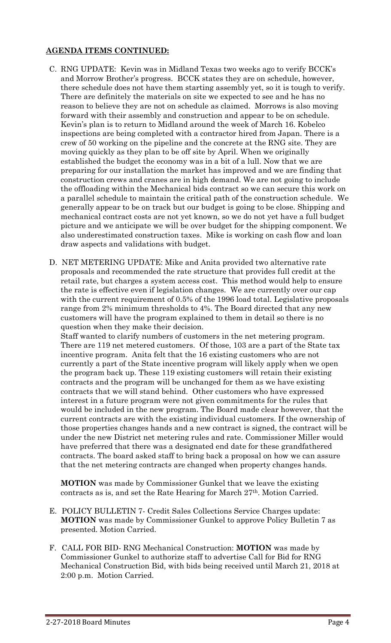## **AGENDA ITEMS CONTINUED:**

- C. RNG UPDATE: Kevin was in Midland Texas two weeks ago to verify BCCK's and Morrow Brother's progress. BCCK states they are on schedule, however, there schedule does not have them starting assembly yet, so it is tough to verify. There are definitely the materials on site we expected to see and he has no reason to believe they are not on schedule as claimed. Morrows is also moving forward with their assembly and construction and appear to be on schedule. Kevin's plan is to return to Midland around the week of March 16. Kobelco inspections are being completed with a contractor hired from Japan. There is a crew of 50 working on the pipeline and the concrete at the RNG site. They are moving quickly as they plan to be off site by April. When we originally established the budget the economy was in a bit of a lull. Now that we are preparing for our installation the market has improved and we are finding that construction crews and cranes are in high demand. We are not going to include the offloading within the Mechanical bids contract so we can secure this work on a parallel schedule to maintain the critical path of the construction schedule. We generally appear to be on track but our budget is going to be close. Shipping and mechanical contract costs are not yet known, so we do not yet have a full budget picture and we anticipate we will be over budget for the shipping component. We also underestimated construction taxes. Mike is working on cash flow and loan draw aspects and validations with budget.
- D. NET METERING UPDATE: Mike and Anita provided two alternative rate proposals and recommended the rate structure that provides full credit at the retail rate, but charges a system access cost. This method would help to ensure the rate is effective even if legislation changes. We are currently over our cap with the current requirement of 0.5% of the 1996 load total. Legislative proposals range from 2% minimum thresholds to 4%. The Board directed that any new customers will have the program explained to them in detail so there is no question when they make their decision.

Staff wanted to clarify numbers of customers in the net metering program. There are 119 net metered customers. Of those, 103 are a part of the State tax incentive program. Anita felt that the 16 existing customers who are not currently a part of the State incentive program will likely apply when we open the program back up. These 119 existing customers will retain their existing contracts and the program will be unchanged for them as we have existing contracts that we will stand behind. Other customers who have expressed interest in a future program were not given commitments for the rules that would be included in the new program. The Board made clear however, that the current contracts are with the existing individual customers. If the ownership of those properties changes hands and a new contract is signed, the contract will be under the new District net metering rules and rate. Commissioner Miller would have preferred that there was a designated end date for these grandfathered contracts. The board asked staff to bring back a proposal on how we can assure that the net metering contracts are changed when property changes hands.

**MOTION** was made by Commissioner Gunkel that we leave the existing contracts as is, and set the Rate Hearing for March 27th. Motion Carried.

- E. POLICY BULLETIN 7- Credit Sales Collections Service Charges update: **MOTION** was made by Commissioner Gunkel to approve Policy Bulletin 7 as presented. Motion Carried.
- F. CALL FOR BID- RNG Mechanical Construction: **MOTION** was made by Commissioner Gunkel to authorize staff to advertise Call for Bid for RNG Mechanical Construction Bid, with bids being received until March 21, 2018 at 2:00 p.m. Motion Carried.